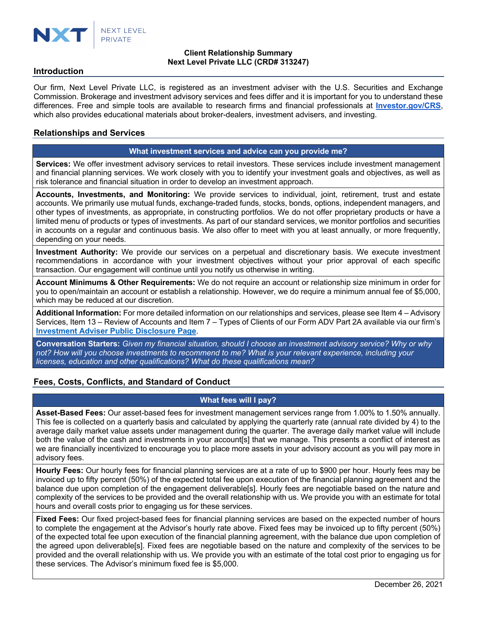

# **Client Relationship Summary Next Level Private LLC (CRD# 313247)**

#### **Introduction**

Our firm, Next Level Private LLC, is registered as an investment adviser with the U.S. Securities and Exchange Commission. Brokerage and investment advisory services and fees differ and it is important for you to understand these differences. Free and simple tools are available to research firms and financial professionals at **Investor.gov/CRS**, which also provides educational materials about broker-dealers, investment advisers, and investing.

# **Relationships and Services**

#### **What investment services and advice can you provide me?**

**Services:** We offer investment advisory services to retail investors. These services include investment management and financial planning services. We work closely with you to identify your investment goals and objectives, as well as risk tolerance and financial situation in order to develop an investment approach.

**Accounts, Investments, and Monitoring:** We provide services to individual, joint, retirement, trust and estate accounts. We primarily use mutual funds, exchange-traded funds, stocks, bonds, options, independent managers, and other types of investments, as appropriate, in constructing portfolios. We do not offer proprietary products or have a limited menu of products or types of investments. As part of our standard services, we monitor portfolios and securities in accounts on a regular and continuous basis. We also offer to meet with you at least annually, or more frequently, depending on your needs.

**Investment Authority:** We provide our services on a perpetual and discretionary basis. We execute investment recommendations in accordance with your investment objectives without your prior approval of each specific transaction. Our engagement will continue until you notify us otherwise in writing.

**Account Minimums & Other Requirements:** We do not require an account or relationship size minimum in order for you to open/maintain an account or establish a relationship. However, we do require a minimum annual fee of \$5,000, which may be reduced at our discretion.

**Additional Information:** For more detailed information on our relationships and services, please see Item 4 – Advisory Services, Item 13 – Review of Accounts and Item 7 – Types of Clients of our Form ADV Part 2A available via our firm's **Investment Adviser Public Disclosure Page**.

**Conversation Starters:** *Given my financial situation, should I choose an investment advisory service? Why or why not? How will you choose investments to recommend to me? What is your relevant experience, including your licenses, education and other qualifications? What do these qualifications mean?*

# **Fees, Costs, Conflicts, and Standard of Conduct**

#### **What fees will I pay?**

**Asset-Based Fees:** Our asset-based fees for investment management services range from 1.00% to 1.50% annually. This fee is collected on a quarterly basis and calculated by applying the quarterly rate (annual rate divided by 4) to the average daily market value assets under management during the quarter. The average daily market value will include both the value of the cash and investments in your account[s] that we manage. This presents a conflict of interest as we are financially incentivized to encourage you to place more assets in your advisory account as you will pay more in advisory fees.

**Hourly Fees:** Our hourly fees for financial planning services are at a rate of up to \$900 per hour. Hourly fees may be invoiced up to fifty percent (50%) of the expected total fee upon execution of the financial planning agreement and the balance due upon completion of the engagement deliverable[s]. Hourly fees are negotiable based on the nature and complexity of the services to be provided and the overall relationship with us. We provide you with an estimate for total hours and overall costs prior to engaging us for these services.

**Fixed Fees:** Our fixed project-based fees for financial planning services are based on the expected number of hours to complete the engagement at the Advisor's hourly rate above. Fixed fees may be invoiced up to fifty percent (50%) of the expected total fee upon execution of the financial planning agreement, with the balance due upon completion of the agreed upon deliverable[s]. Fixed fees are negotiable based on the nature and complexity of the services to be provided and the overall relationship with us. We provide you with an estimate of the total cost prior to engaging us for these services. The Advisor's minimum fixed fee is \$5,000.